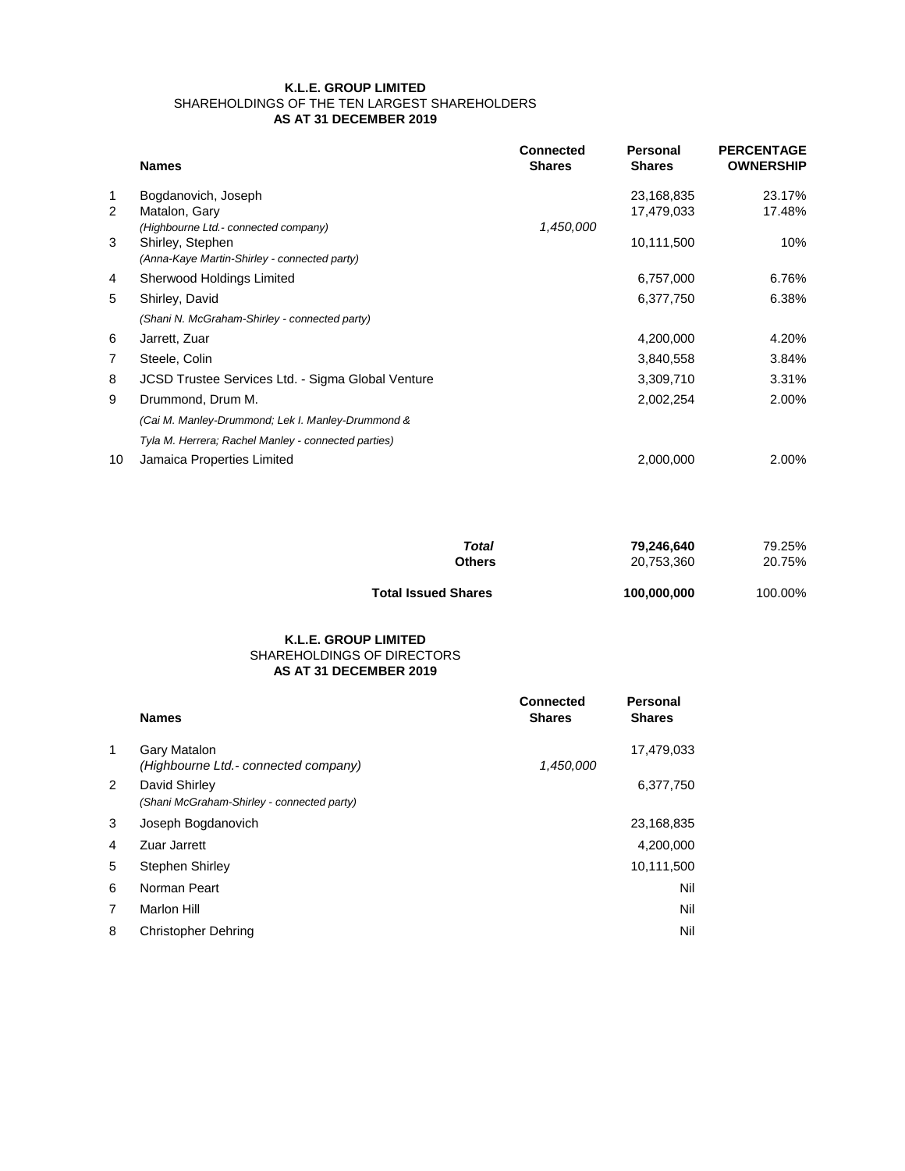|                | <b>Names</b>                                                     | <b>Connected</b><br><b>Shares</b> | <b>Personal</b><br><b>Shares</b> | <b>PERCENTAGE</b><br><b>OWNERSHIP</b> |
|----------------|------------------------------------------------------------------|-----------------------------------|----------------------------------|---------------------------------------|
| $\mathbf 1$    | Bogdanovich, Joseph                                              |                                   | 23,168,835                       | 23.17%                                |
| $\overline{2}$ | Matalon, Gary                                                    |                                   | 17,479,033                       | 17.48%                                |
|                | (Highbourne Ltd.- connected company)                             | 1,450,000                         |                                  |                                       |
| 3              | Shirley, Stephen<br>(Anna-Kaye Martin-Shirley - connected party) |                                   | 10,111,500                       | 10%                                   |
| 4              | <b>Sherwood Holdings Limited</b>                                 |                                   | 6,757,000                        | 6.76%                                 |
| 5              | Shirley, David                                                   |                                   | 6,377,750                        | 6.38%                                 |
|                | (Shani N. McGraham-Shirley - connected party)                    |                                   |                                  |                                       |
| 6              | Jarrett, Zuar                                                    |                                   | 4,200,000                        | 4.20%                                 |
| 7              | Steele, Colin                                                    |                                   | 3,840,558                        | 3.84%                                 |
| 8              | <b>JCSD Trustee Services Ltd. - Sigma Global Venture</b>         |                                   | 3,309,710                        | 3.31%                                 |
| 9              | Drummond, Drum M.                                                |                                   | 2,002,254                        | 2.00%                                 |
|                | (Cai M. Manley-Drummond; Lek I. Manley-Drummond &                |                                   |                                  |                                       |
|                | Tyla M. Herrera; Rachel Manley - connected parties)              |                                   |                                  |                                       |
| 10             | <b>Jamaica Properties Limited</b>                                |                                   | 2,000,000                        | 2.00%                                 |

| . ა             | JOSEPH BOGGANOVICH         | ZJ, 100,030 |
|-----------------|----------------------------|-------------|
| $\overline{4}$  | Zuar Jarrett               | 4,200,000   |
| $5\overline{)}$ | <b>Stephen Shirley</b>     | 10,111,500  |
| 6               | Norman Peart               | Nil         |
| 7               | <b>Marlon Hill</b>         | <b>Nil</b>  |
| 8               | <b>Christopher Dehring</b> | <b>Nil</b>  |

| Total                      | 79,246,640  | 79.25%  |
|----------------------------|-------------|---------|
| Others                     | 20,753,360  | 20.75%  |
| <b>Total Issued Shares</b> | 100,000,000 | 100.00% |

|   | <b>Names</b>                               | <b>Connected</b><br><b>Shares</b> | <b>Personal</b><br><b>Shares</b> |
|---|--------------------------------------------|-----------------------------------|----------------------------------|
|   | <b>Gary Matalon</b>                        |                                   | 17,479,033                       |
|   | (Highbourne Ltd.- connected company)       | 1,450,000                         |                                  |
| 2 | David Shirley                              |                                   | 6,377,750                        |
|   | (Shani McGraham-Shirley - connected party) |                                   |                                  |
|   | Insanh Roadanovich                         |                                   | 23.168.835                       |

## **K.L.E. GROUP LIMITED** SHAREHOLDINGS OF THE TEN LARGEST SHAREHOLDERS **AS AT 31 DECEMBER 2019**

## **AS AT 31 DECEMBER 2019 K.L.E. GROUP LIMITED** SHAREHOLDINGS OF DIRECTORS